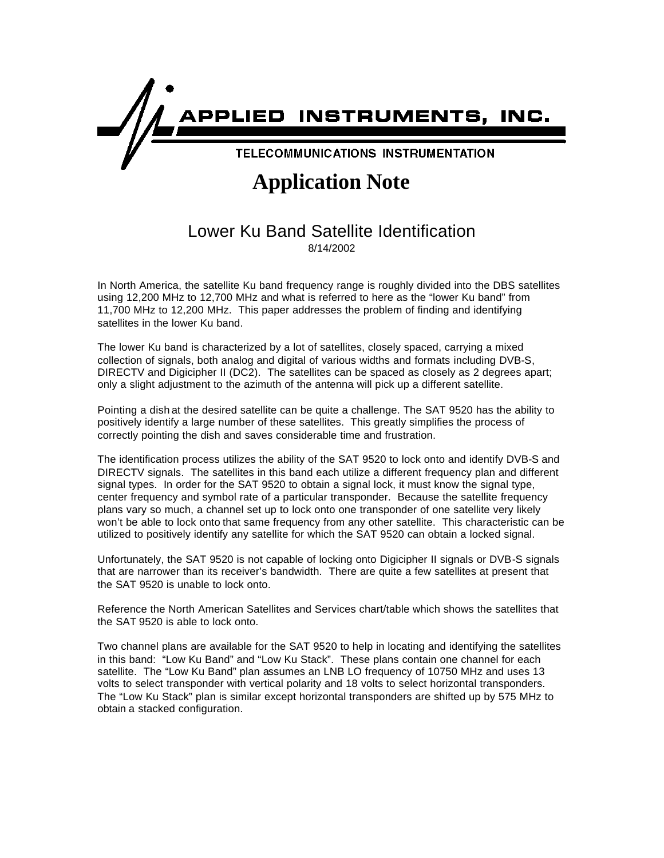

## **Application Note**

## Lower Ku Band Satellite Identification

8/14/2002

In North America, the satellite Ku band frequency range is roughly divided into the DBS satellites using 12,200 MHz to 12,700 MHz and what is referred to here as the "lower Ku band" from 11,700 MHz to 12,200 MHz. This paper addresses the problem of finding and identifying satellites in the lower Ku band.

The lower Ku band is characterized by a lot of satellites, closely spaced, carrying a mixed collection of signals, both analog and digital of various widths and formats including DVB-S, DIRECTV and Digicipher II (DC2). The satellites can be spaced as closely as 2 degrees apart; only a slight adjustment to the azimuth of the antenna will pick up a different satellite.

Pointing a dish at the desired satellite can be quite a challenge. The SAT 9520 has the ability to positively identify a large number of these satellites. This greatly simplifies the process of correctly pointing the dish and saves considerable time and frustration.

The identification process utilizes the ability of the SAT 9520 to lock onto and identify DVB-S and DIRECTV signals. The satellites in this band each utilize a different frequency plan and different signal types. In order for the SAT 9520 to obtain a signal lock, it must know the signal type, center frequency and symbol rate of a particular transponder. Because the satellite frequency plans vary so much, a channel set up to lock onto one transponder of one satellite very likely won't be able to lock onto that same frequency from any other satellite. This characteristic can be utilized to positively identify any satellite for which the SAT 9520 can obtain a locked signal.

Unfortunately, the SAT 9520 is not capable of locking onto Digicipher II signals or DVB-S signals that are narrower than its receiver's bandwidth. There are quite a few satellites at present that the SAT 9520 is unable to lock onto.

Reference the North American Satellites and Services chart/table which shows the satellites that the SAT 9520 is able to lock onto.

Two channel plans are available for the SAT 9520 to help in locating and identifying the satellites in this band: "Low Ku Band" and "Low Ku Stack". These plans contain one channel for each satellite. The "Low Ku Band" plan assumes an LNB LO frequency of 10750 MHz and uses 13 volts to select transponder with vertical polarity and 18 volts to select horizontal transponders. The "Low Ku Stack" plan is similar except horizontal transponders are shifted up by 575 MHz to obtain a stacked configuration.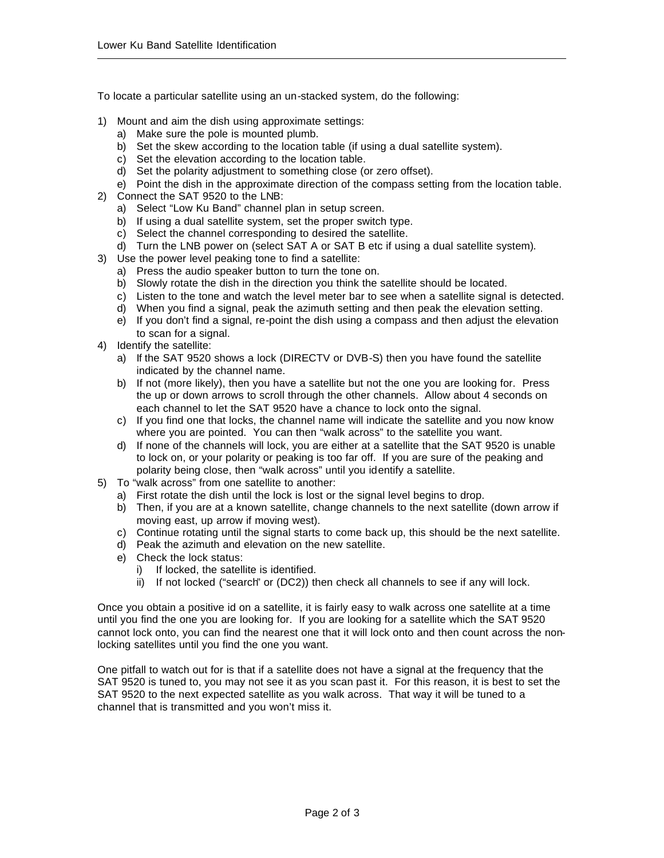To locate a particular satellite using an un-stacked system, do the following:

- 1) Mount and aim the dish using approximate settings:
	- a) Make sure the pole is mounted plumb.
	- b) Set the skew according to the location table (if using a dual satellite system).
	- c) Set the elevation according to the location table.
	- d) Set the polarity adjustment to something close (or zero offset).
	- e) Point the dish in the approximate direction of the compass setting from the location table.
- 2) Connect the SAT 9520 to the LNB:
	- a) Select "Low Ku Band" channel plan in setup screen.
	- b) If using a dual satellite system, set the proper switch type.
	- c) Select the channel corresponding to desired the satellite.
	- d) Turn the LNB power on (select SAT A or SAT B etc if using a dual satellite system).
- 3) Use the power level peaking tone to find a satellite:
	- a) Press the audio speaker button to turn the tone on.
	- b) Slowly rotate the dish in the direction you think the satellite should be located.
	- c) Listen to the tone and watch the level meter bar to see when a satellite signal is detected.
	- d) When you find a signal, peak the azimuth setting and then peak the elevation setting.
	- e) If you don't find a signal, re-point the dish using a compass and then adjust the elevation to scan for a signal.
- 4) Identify the satellite:
	- a) If the SAT 9520 shows a lock (DIRECTV or DVB-S) then you have found the satellite indicated by the channel name.
	- b) If not (more likely), then you have a satellite but not the one you are looking for. Press the up or down arrows to scroll through the other channels. Allow about 4 seconds on each channel to let the SAT 9520 have a chance to lock onto the signal.
	- c) If you find one that locks, the channel name will indicate the satellite and you now know where you are pointed. You can then "walk across" to the satellite you want.
	- d) If none of the channels will lock, you are either at a satellite that the SAT 9520 is unable to lock on, or your polarity or peaking is too far off. If you are sure of the peaking and polarity being close, then "walk across" until you identify a satellite.
- 5) To "walk across" from one satellite to another:
	- a) First rotate the dish until the lock is lost or the signal level begins to drop.
		- b) Then, if you are at a known satellite, change channels to the next satellite (down arrow if moving east, up arrow if moving west).
		- c) Continue rotating until the signal starts to come back up, this should be the next satellite.
		- d) Peak the azimuth and elevation on the new satellite.
		- e) Check the lock status:
			- i) If locked, the satellite is identified.
			- ii) If not locked ("search" or (DC2)) then check all channels to see if any will lock.

Once you obtain a positive id on a satellite, it is fairly easy to walk across one satellite at a time until you find the one you are looking for. If you are looking for a satellite which the SAT 9520 cannot lock onto, you can find the nearest one that it will lock onto and then count across the nonlocking satellites until you find the one you want.

One pitfall to watch out for is that if a satellite does not have a signal at the frequency that the SAT 9520 is tuned to, you may not see it as you scan past it. For this reason, it is best to set the SAT 9520 to the next expected satellite as you walk across. That way it will be tuned to a channel that is transmitted and you won't miss it.